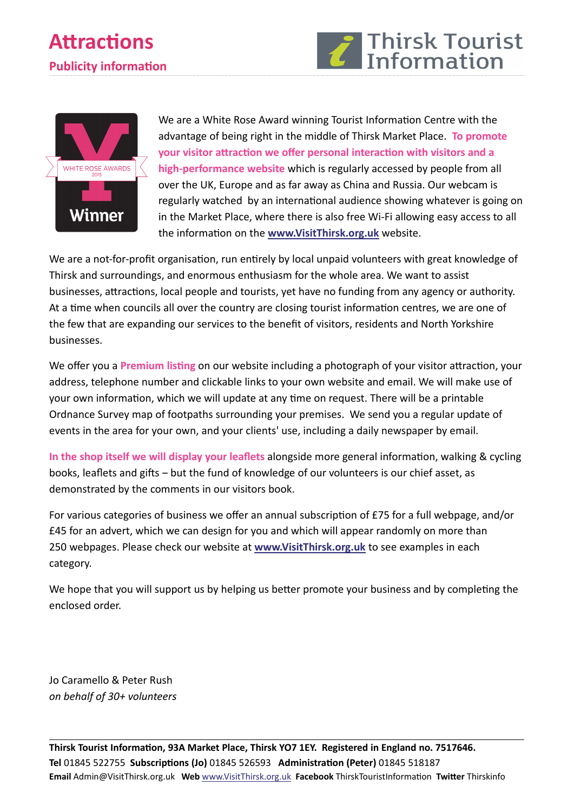



We are a White Rose Award winning Tourist Information Centre with the advantage of being right in the middle of Thirsk Market Place. **To promote your visitor aƩracƟon we offer personal interacƟon with visitors and a high‐performance website** which is regularly accessed by people from all over the UK, Europe and as far away as China and Russia. Our webcam is regularly watched by an international audience showing whatever is going on in the Market Place, where there is also free Wi‐Fi allowing easy access to all the informaƟon on the **www.VisitThirsk.org.uk** website.

We are a not-for-profit organisation, run entirely by local unpaid volunteers with great knowledge of Thirsk and surroundings, and enormous enthusiasm for the whole area. We want to assist businesses, attractions, local people and tourists, yet have no funding from any agency or authority. At a time when councils all over the country are closing tourist information centres, we are one of the few that are expanding our services to the benefit of visitors, residents and North Yorkshire businesses.

We offer you a **Premium listing** on our website including a photograph of your visitor attraction, your address, telephone number and clickable links to your own website and email. We will make use of your own information, which we will update at any time on request. There will be a printable Ordnance Survey map of footpaths surrounding your premises. We send you a regular update of events in the area for your own, and your clients' use, including a daily newspaper by email.

**In the shop itself we will display your leaflets** alongside more general informaƟon, walking & cycling books, leaflets and gifts – but the fund of knowledge of our volunteers is our chief asset, as demonstrated by the comments in our visitors book.

For various categories of business we offer an annual subscription of £75 for a full webpage, and/or £45 for an advert, which we can design for you and which will appear randomly on more than 250 webpages. Please check our website at **www.VisitThirsk.org.uk** to see examples in each category.

We hope that you will support us by helping us better promote your business and by completing the enclosed order.

Jo Caramello & Peter Rush *on behalf of 30+ volunteers*

Thirsk Tourist Information, 93A Market Place, Thirsk YO7 1EY. Registered in England no. 7517646. **Tel** 01845 522755 **SubscripƟons (Jo)** 01845 526593 **AdministraƟon (Peter)** 01845 518187 **Email** Admin@VisitThirsk.org.uk **Web** www.VisitThirsk.org.uk **Facebook** ThirskTouristInformaƟon **TwiƩer** Thirskinfo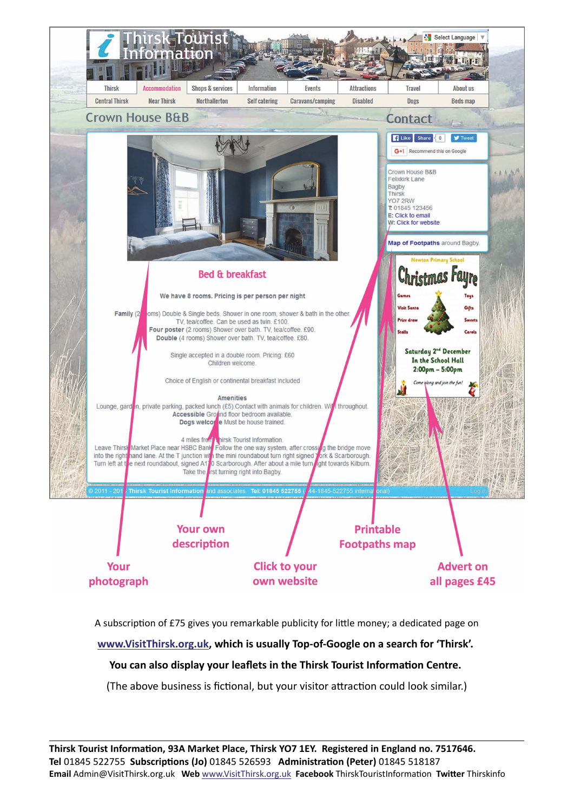

A subscription of £75 gives you remarkable publicity for little money; a dedicated page on **www.VisitThirsk.org.uk, which is usually Top‐of‐Google on a search for 'Thirsk'.**  You can also display your leaflets in the Thirsk Tourist Information Centre. (The above business is fictional, but your visitor attraction could look similar.)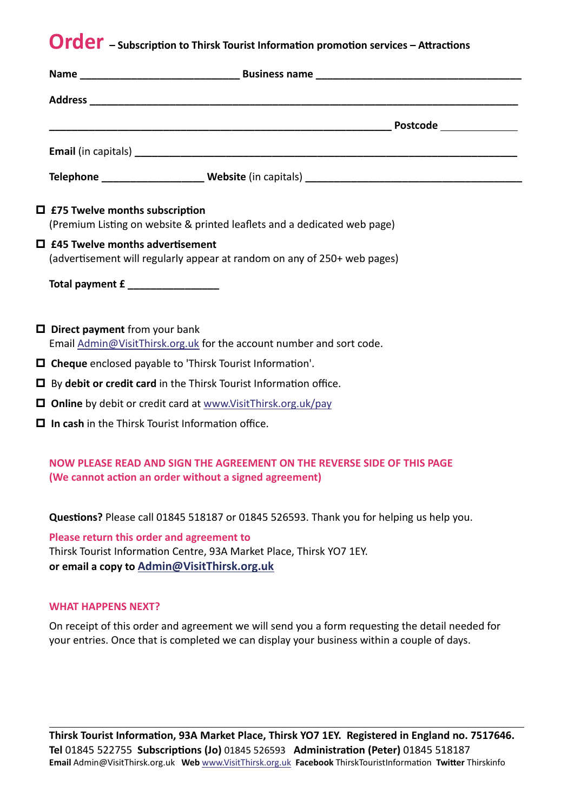# **Order** – Subscription to Thirsk Tourist Information promotion services – Attractions

| $\Box$ £75 Twelve months subscription<br>(Premium Listing on website & printed leaflets and a dedicated web page)                 |  |  |
|-----------------------------------------------------------------------------------------------------------------------------------|--|--|
| $\Box$ £45 Twelve months advertisement<br>(advertisement will regularly appear at random on any of 250+ web pages)                |  |  |
| Total payment £                                                                                                                   |  |  |
| $\Box$ Direct payment from your bank<br>Email Admin@VisitThirsk.org.uk for the account number and sort code.                      |  |  |
| $\Box$ Cheque enclosed payable to 'Thirsk Tourist Information'.                                                                   |  |  |
| $\Box$ By debit or credit card in the Thirsk Tourist Information office.                                                          |  |  |
| $\Box$ Online by debit or credit card at www.VisitThirsk.org.uk/pay                                                               |  |  |
| $\Box$ In cash in the Thirsk Tourist Information office.                                                                          |  |  |
| NOW PLEASE READ AND SIGN THE AGREEMENT ON THE REVERSE SIDE OF THIS PAGE<br>(We cannot action an order without a signed agreement) |  |  |

Questions? Please call 01845 518187 or 01845 526593. Thank you for helping us help you.

**Please return this order and agreement to** Thirsk Tourist Information Centre, 93A Market Place, Thirsk YO7 1EY. **or email a copy to Admin@VisitThirsk.org.uk**

### **WHAT HAPPENS NEXT?**

On receipt of this order and agreement we will send you a form requesting the detail needed for your entries. Once that is completed we can display your business within a couple of days.

Thirsk Tourist Information, 93A Market Place, Thirsk YO7 1EY. Registered in England no. 7517646. **Tel** 01845 522755 **SubscripƟons (Jo)** 01845 526593 **AdministraƟon (Peter)** 01845 518187 **Email** Admin@VisitThirsk.org.uk **Web** www.VisitThirsk.org.uk **Facebook** ThirskTouristInformaƟon **TwiƩer** Thirskinfo